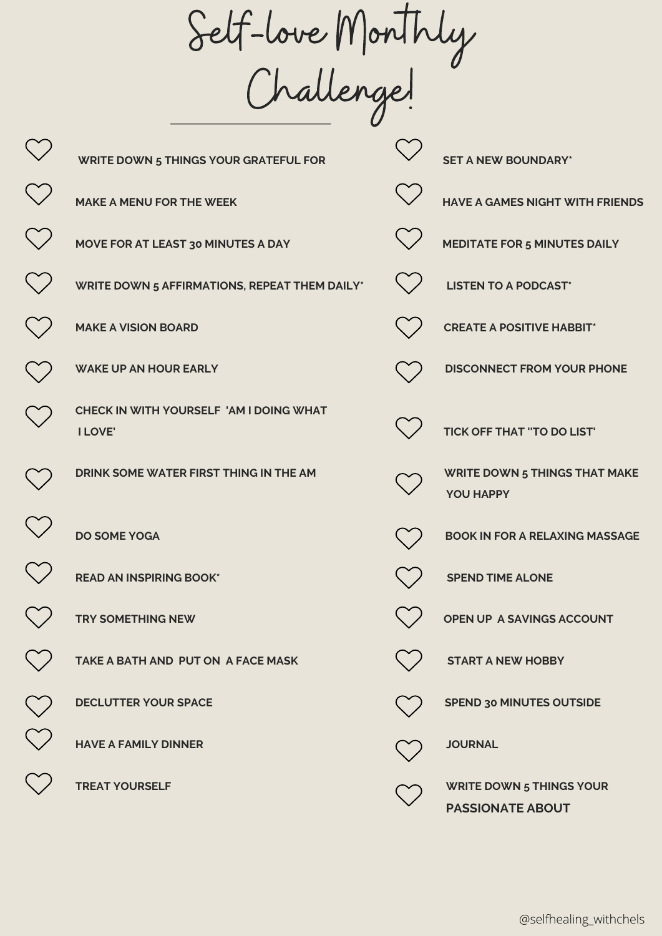Self-love Monthly Challenge!

|                                      | U                                                         |                      |                                                |
|--------------------------------------|-----------------------------------------------------------|----------------------|------------------------------------------------|
|                                      | <b>WRITE DOWN 5 THINGS YOUR GRATEFUL FOR</b>              |                      | <b>SET A NEW BOUNDARY*</b>                     |
| $\begin{matrix} 1 \\ 1 \end{matrix}$ | <b>MAKE A MENU FOR THE WEEK</b>                           | $\ddot{\phantom{a}}$ | <b>HAVE A GAMES NIGHT W</b>                    |
|                                      | MOVE FOR AT LEAST 30 MINUTES A DAY                        |                      | <b>MEDITATE FOR 5 MINUTI</b>                   |
|                                      | <b>WRITE DOWN 5 AFFIRMATIONS, REPEAT THEM DAILY*</b>      |                      | <b>LISTEN TO A PODCAST*</b>                    |
|                                      | <b>MAKE A VISION BOARD</b>                                |                      | <b>CREATE A POSITIVE HAE</b>                   |
|                                      | <b>WAKE UP AN HOUR EARLY</b>                              |                      | <b>DISCONNECT FROM YOU</b>                     |
|                                      | CHECK IN WITH YOURSELF 'AM I DOING WHAT<br><b>I LOVE'</b> |                      | <b>TICK OFF THAT "TO DO I</b>                  |
|                                      | DRINK SOME WATER FIRST THING IN THE AM                    |                      | <b>WRITE DOWN 5 THINGS</b><br><b>YOU HAPPY</b> |
|                                      | <b>DO SOME YOGA</b>                                       |                      | <b>BOOK IN FOR A RELAXIN</b>                   |
|                                      | <b>READ AN INSPIRING BOOK*</b>                            |                      | <b>SPEND TIME ALONE</b>                        |
|                                      | <b>TRY SOMETHING NEW</b>                                  |                      | OPEN UP A SAVINGS AC                           |
|                                      | TAKE A BATH AND PUT ON A FACE MASK                        |                      | <b>START A NEW HOBBY</b>                       |
|                                      | <b>DECLUTTER YOUR SPACE</b>                               |                      | <b>SPEND 30 MINUTES OUT</b>                    |
| $\sim$                               | <b>HAVE A FAMILY DINNER</b>                               |                      | <b>JOURNAL</b>                                 |
|                                      | <b>TREAT YOURSELF</b>                                     |                      | <b>WRITE DOWN 5 THINGS</b>                     |

| <b>WRITE DOWN 5 THINGS YOUR GRATEFUL FOR</b>              | <b>SET A NEW BOUNDARY*</b>                                 |
|-----------------------------------------------------------|------------------------------------------------------------|
| <b>MAKE A MENU FOR THE WEEK</b>                           | <b>HAVE A GAMES NIGHT WITH FRIENDS</b>                     |
| MOVE FOR AT LEAST 30 MINUTES A DAY                        | <b>MEDITATE FOR 5 MINUTES DAILY</b>                        |
| WRITE DOWN 5 AFFIRMATIONS, REPEAT THEM DAILY*             | <b>LISTEN TO A PODCAST*</b>                                |
| <b>MAKE A VISION BOARD</b>                                | <b>CREATE A POSITIVE HABBIT*</b>                           |
| <b>WAKE UP AN HOUR EARLY</b>                              | <b>DISCONNECT FROM YOUR PHONE</b>                          |
| CHECK IN WITH YOURSELF 'AM I DOING WHAT<br><b>I LOVE'</b> | <b>TICK OFF THAT "TO DO LIST"</b>                          |
| DRINK SOME WATER FIRST THING IN THE AM                    | <b>WRITE DOWN 5 THINGS THAT MAKE</b><br><b>YOU HAPPY</b>   |
| <b>DO SOME YOGA</b>                                       | <b>BOOK IN FOR A RELAXING MASSAGE</b>                      |
| <b>READ AN INSPIRING BOOK*</b>                            | <b>SPEND TIME ALONE</b>                                    |
| <b>TRY SOMETHING NEW</b>                                  | OPEN UP A SAVINGS ACCOUNT                                  |
| TAKE A BATH AND PUT ON A FACE MASK                        | <b>START A NEW HOBBY</b>                                   |
| <b>DECLUTTER YOUR SPACE</b>                               | <b>SPEND 30 MINUTES OUTSIDE</b>                            |
| <b>HAVE A FAMILY DINNER</b>                               | <b>JOURNAL</b>                                             |
| <b>TREAT YOURSELF</b>                                     | <b>WRITE DOWN 5 THINGS YOUR</b><br><b>PASSIONATE ABOUT</b> |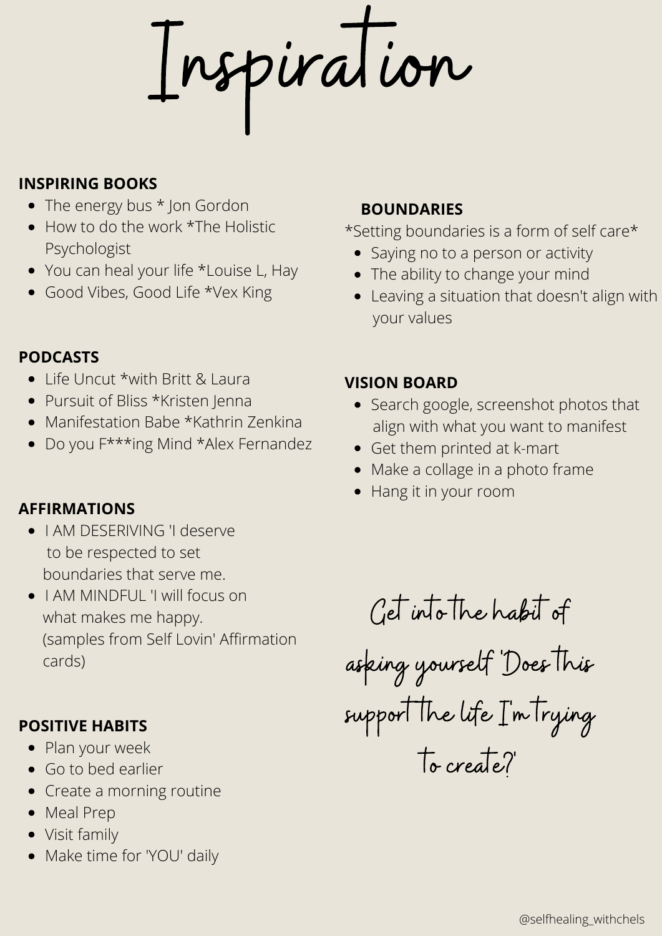Inspiration

#### **INSPIRING BOOKS**

- The energy bus \* Jon Gordon
- How to do the work \*The Holistic Psychologist
- You can heal your life \*Louise L, Hay
- Good Vibes, Good Life \*Vex King

### **PODCASTS**

- Life Uncut \*with Britt & Laura
- Pursuit of Bliss \*Kristen Jenna
- Manifestation Babe \*Kathrin Zenkina
- Do you F\*\*\*ing Mind \*Alex Fernandez

#### **AFFIRMATIONS**

- **.** I AM DESERIVING 'I deserve to be respected to set boundaries that serve me.
- I AM MINDFUL 'I will focus on what makes me happy. (samples from Self Lovin' Affirmation cards)

### **POSITIVE HABITS**

- Plan your week
- Go to bed earlier
- Create a morning routine
- Meal Prep
- Visit family
- Make time for 'YOU' daily

### **BOUNDARIES**

\*Setting boundaries is a form of self care\*

- Saying no to a person or activity
- The ability to change your mind
- Leaving a situation that doesn't align with your values

### **VISION BOARD**

- Search google, screenshot photos that align with what you want to manifest
- Get them printed at k-mart
- Make a collage in a photo frame
- Hang it in your room

Get into the habit of asking yourself 'Does this support the life I'm trying

to create?'